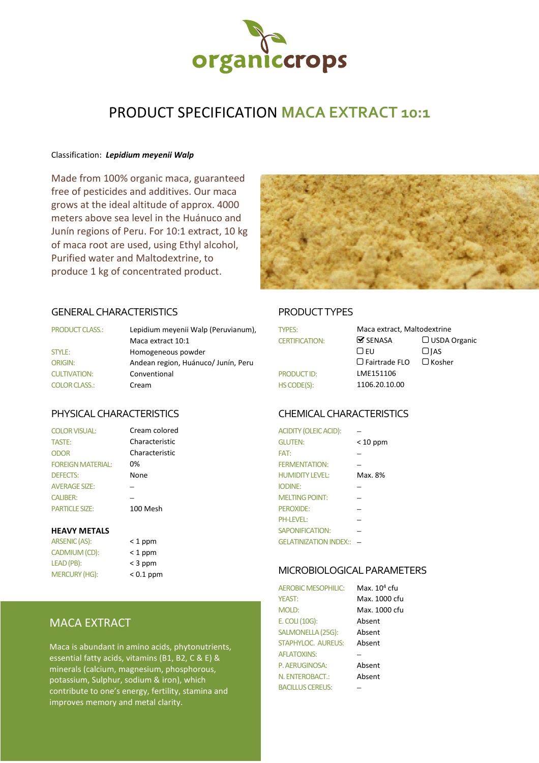

# PRODUCT SPECIFICATION **MACA EXTRACT 10:1**

#### Classification: *Lepidium meyenii Walp*

Made from 100% organic maca, guaranteed free of pesticides and additives. Our maca grows at the ideal altitude of approx. 4000 meters above sea level in the Huánuco and Junín regions of Peru. For 10:1 extract, 10 kg of maca root are used, using Ethyl alcohol, Purified water and Maltodextrine, to produce 1 kg of concentrated product.



### GENERAL CHARACTERISTICS PRODUCT TYPES

| <b>PRODUCT CLASS.:</b> | Lepidium meyenii Walp (Peruvianum), | <b>TYPES:</b>         | Maca extract, Maltodextrine   |               |
|------------------------|-------------------------------------|-----------------------|-------------------------------|---------------|
|                        | Maca extract 10:1                   | <b>CERTIFICATION:</b> | $\mathbf{\mathcal{S}}$ SENASA | $\Box$ USDA C |
| STYLE:                 | Homogeneous powder                  |                       | LJ EU                         | $\Box$ IAS    |
| <b>ORIGIN:</b>         | Andean region, Huánuco/Junín, Peru  |                       | $\Box$ Fairtrade FLO          | $\Box$ Kosher |
| <b>CULTIVATION:</b>    | Conventional                        | PRODUCT ID:           | LME151106                     |               |
| <b>COLOR CLASS.:</b>   | Cream                               | HS CODE(S):           | 1106.20.10.00                 |               |

### PHYSICAL CHARACTERISTICS CHEMICAL CHARACTERISTICS

| <b>COLOR VISUAL:</b>     |  |
|--------------------------|--|
| <b>TASTE:</b>            |  |
| ODOR                     |  |
| <b>FOREIGN MATERIAL:</b> |  |
| <b>DEFECTS:</b>          |  |
| <b>AVERAGE SIZE:</b>     |  |
| <b>CALIBER:</b>          |  |
| <b>PARTICLE SIZE:</b>    |  |

Cream colored

#### **HEAVY METALS**

| <b>ARSENIC (AS):</b> | $<$ 1 ppm   |
|----------------------|-------------|
| CADMIUM (CD):        | $<$ 1 ppm   |
| LEAD (PB):           | $<$ 3 ppm   |
| <b>MERCURY (HG):</b> | $< 0.1$ ppr |

| < 1 ppm   |
|-----------|
| < 1 ppm   |
| < 3 ppm   |
| < 0.1 ppm |

## MACA EXTRACT

Maca is abundant in amino acids, phytonutrients, essential fatty acids, vitamins (B1, B2, C & E) & minerals (calcium, magnesium, phosphorous, potassium, Sulphur, sodium & iron), which contribute to one's energy, fertility, stamina and improves memory and metal clarity.

| <b>TYPES:</b>         | Maca extract, Maltodextrine   |                     |
|-----------------------|-------------------------------|---------------------|
| <b>CERTIFICATION:</b> | $\mathbf{\mathcal{C}}$ SENASA | $\Box$ USDA Organic |
|                       | □ EU                          | $\Box$ JAS          |
|                       | $\Box$ Fairtrade FLO          | $\Box$ Kosher       |
| <b>PRODUCT ID:</b>    | LME151106                     |                     |
| HS CODE(S):           | 1106.20.10.00                 |                     |

| <b>COLOR VISUAL:</b>     | Cream colored  | <b>ACIDITY (OLEIC ACID):</b> |            |
|--------------------------|----------------|------------------------------|------------|
| <b>TASTE:</b>            | Characteristic | <b>GLUTEN:</b>               | $< 10$ ppm |
| <b>ODOR</b>              | Characteristic | FAT:                         |            |
| <b>FOREIGN MATERIAL:</b> | 0%             | <b>FERMENTATION:</b>         |            |
| <b>DEFECTS:</b>          | None           | <b>HUMIDITY LEVEL:</b>       | Max. 8%    |
| <b>AVERAGE SIZE:</b>     |                | <b>IODINE:</b>               |            |
| <b>CALIBER:</b>          |                | <b>MELTING POINT:</b>        |            |
| <b>PARTICLE SIZE:</b>    | 100 Mesh       | PEROXIDE:                    |            |
|                          |                | <b>PH-LEVEL:</b>             |            |
| <b>HEAVY METALS</b>      |                | <b>SAPONIFICATION:</b>       |            |
| ARSENIC (AS):            | $<$ 1 ppm      | GELATINIZATION INDEX:: -     |            |

#### MICROBIOLOGICAL PARAMETERS

| <b>AEROBIC MESOPHILIC:</b> | Max. 10 <sup>4</sup> cfu |
|----------------------------|--------------------------|
| <b>YFAST:</b>              | Max. 1000 cfu            |
| <b>MOLD:</b>               | Max. 1000 cfu            |
| E. COLI (10G):             | Absent                   |
| SALMONELLA (25G):          | Absent                   |
| STAPHYLOC. AUREUS:         | Absent                   |
| <b>AFLATOXINS:</b>         |                          |
| P. AERUGINOSA:             | Absent                   |
| N. ENTEROBACT.:            | Absent                   |
| BACILLUS CEREUS:           |                          |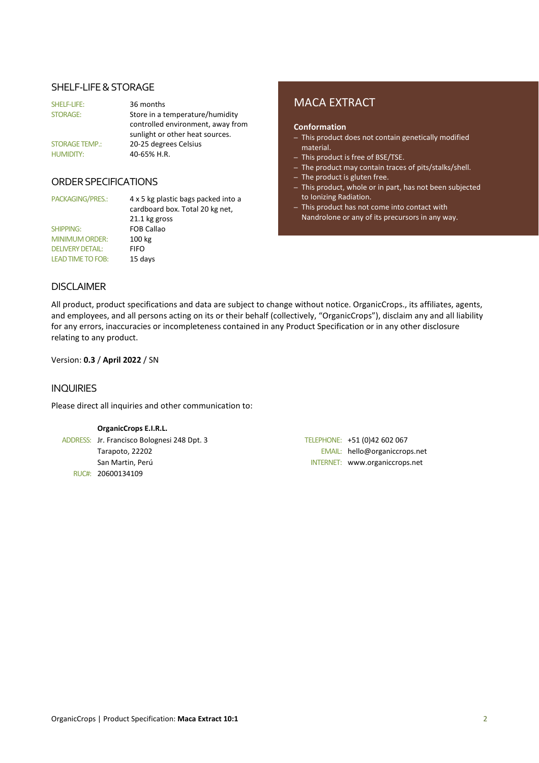#### SHELF-LIFE & STORAGE

| SHELF-LIFE:           | 36 months                         |
|-----------------------|-----------------------------------|
| <b>STORAGE:</b>       | Store in a temperature/humidity   |
|                       | controlled environment, away from |
|                       | sunlight or other heat sources.   |
| <b>STORAGE TEMP.:</b> | 20-25 degrees Celsius             |
| <b>HUMIDITY:</b>      | 40-65% H.R.                       |

### ORDER SPECIFICATIONS

SHIPPING: FOB Callao MINIMUM ORDER: 100 kg DELIVERY DETAIL: FIFO LEAD TIME TO FOB: 15 days

PACKAGING/PRES.: 4 x 5 kg plastic bags packed into a cardboard box. Total 20 kg net, 21.1 kg gross

# MACA EXTRACT

#### **Conformation**

- This product does not contain genetically modified material.
- This product is free of BSE/TSE.
- The product may contain traces of pits/stalks/shell.
- The product is gluten free.
- This product, whole or in part, has not been subjected to Ionizing Radiation.
- This product has not come into contact with Nandrolone or any of its precursors in any way.

#### DISCLAIMER

All product, product specifications and data are subject to change without notice. OrganicCrops., its affiliates, agents, and employees, and all persons acting on its or their behalf (collectively, "OrganicCrops"), disclaim any and all liability for any errors, inaccuracies or incompleteness contained in any Product Specification or in any other disclosure relating to any product.

Version: **0.3** / **April 2022** / SN

#### INQUIRIES

Please direct all inquiries and other communication to:

#### **OrganicCrops E.I.R.L.**

ADDRESS: Jr. Francisco Bolognesi 248 Dpt. 3 TELEPHONE: +51 (0)42 602 067 RUC#: 20600134109

Tarapoto, 22202 EMAIL: hello@organiccrops.net San Martin, Perú INTERNET: www.organiccrops.net